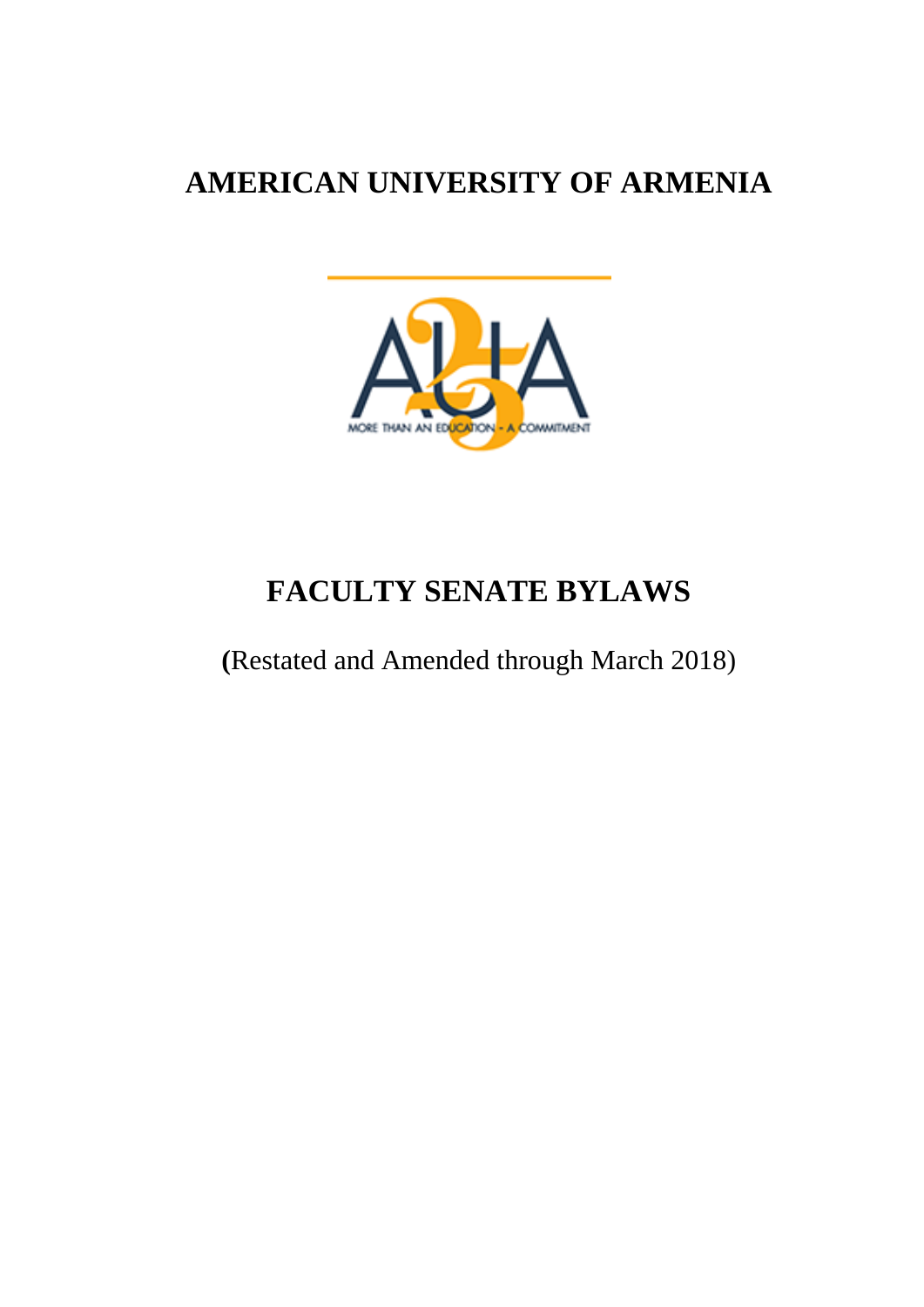# **AMERICAN UNIVERSITY OF ARMENIA**



# **FACULTY SENATE BYLAWS**

**(**Restated and Amended through March 2018)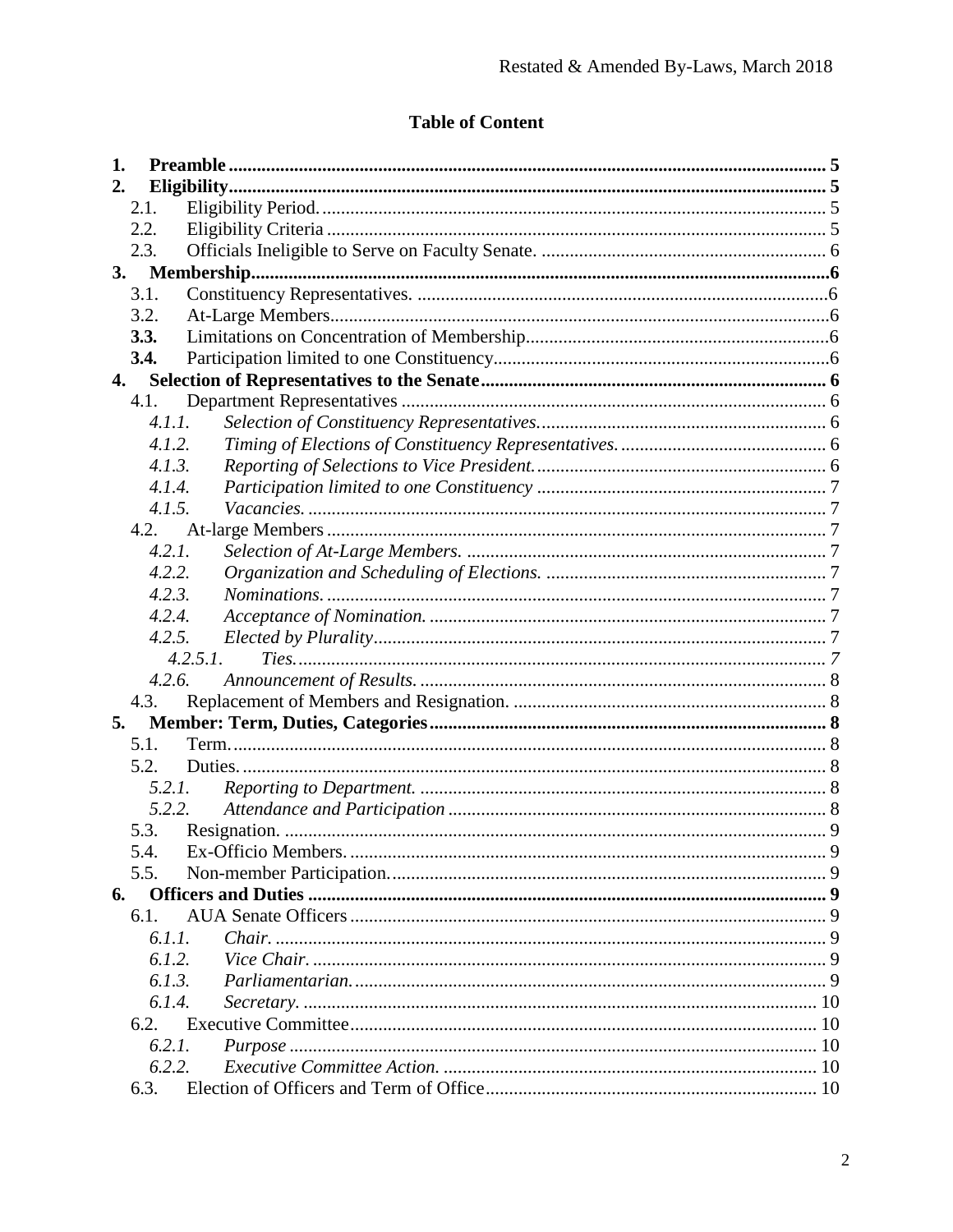# **Table of Content**

| 1. |        |          |  |
|----|--------|----------|--|
| 2. |        |          |  |
|    | 2.1.   |          |  |
|    | 2.2.   |          |  |
|    | 2.3.   |          |  |
| 3. |        |          |  |
|    | 3.1.   |          |  |
|    | 3.2.   |          |  |
|    | 3.3.   |          |  |
|    | 3.4.   |          |  |
| 4. |        |          |  |
|    | 4.1.   |          |  |
|    | 4.1.1. |          |  |
|    | 4.1.2. |          |  |
|    | 4.1.3. |          |  |
|    | 4.1.4. |          |  |
|    | 4.1.5. |          |  |
|    | 4.2.   |          |  |
|    | 4.2.1. |          |  |
|    | 4.2.2. |          |  |
|    | 4.2.3. |          |  |
|    | 4.2.4. |          |  |
|    | 4.2.5. |          |  |
|    |        | 4.2.5.1. |  |
|    | 4.2.6. |          |  |
|    | 4.3.   |          |  |
| 5. |        |          |  |
|    | 5.1.   |          |  |
|    | 5.2.   |          |  |
|    | 5.2.1. |          |  |
|    | 5.2.2. |          |  |
|    | 5.3.   |          |  |
|    | 5.4.   |          |  |
|    | 5.5.   |          |  |
| 6. | 6.1.   |          |  |
|    | 6.1.1. |          |  |
|    | 6.1.2. |          |  |
|    | 6.1.3. |          |  |
|    | 6.1.4. |          |  |
|    | 6.2.   |          |  |
|    | 6.2.1. |          |  |
|    | 6.2.2. |          |  |
|    | 6.3.   |          |  |
|    |        |          |  |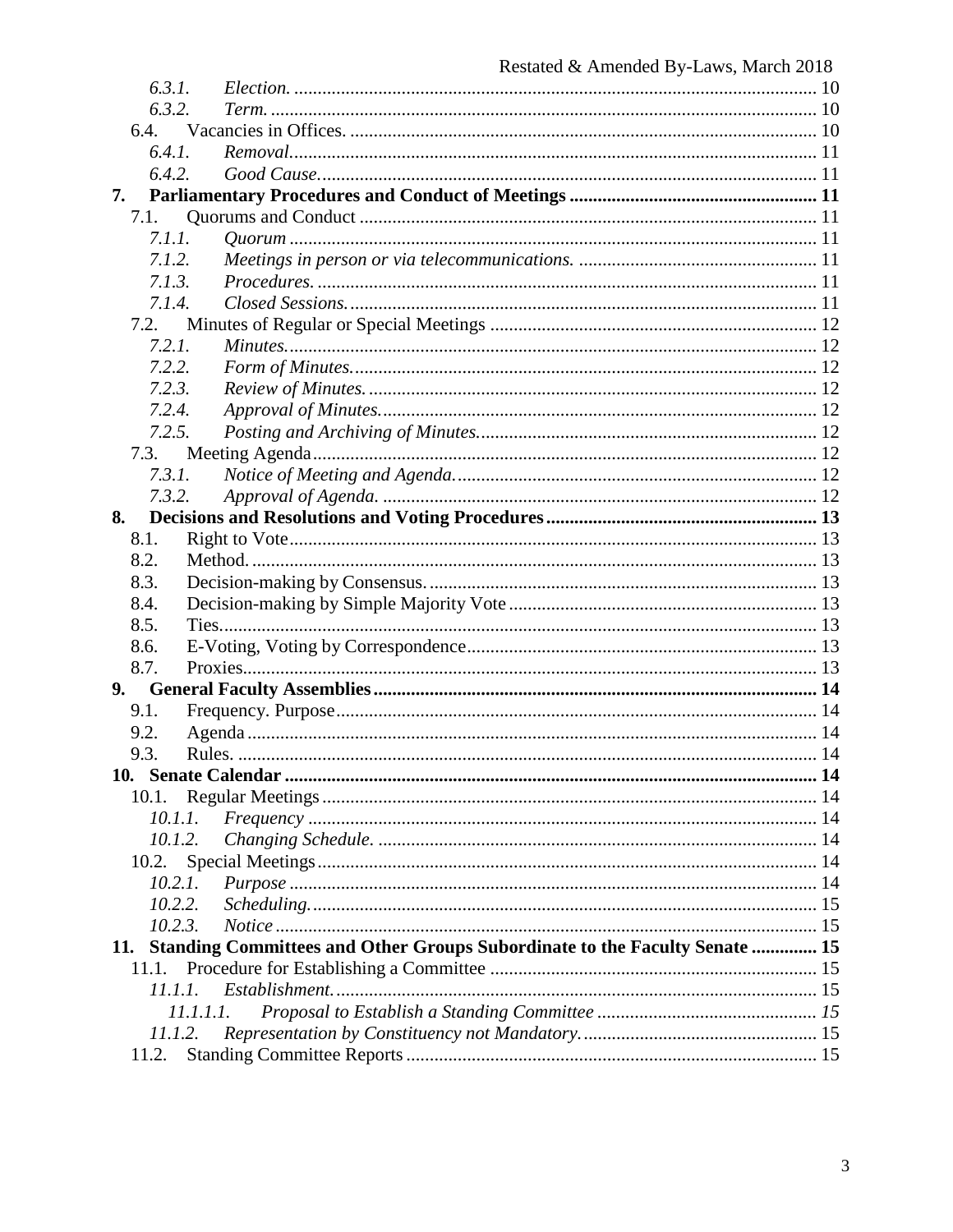| 6.3.1.  |                                                                                |  |
|---------|--------------------------------------------------------------------------------|--|
| 6.3.2.  |                                                                                |  |
| 6.4.    |                                                                                |  |
| 6.4.1.  |                                                                                |  |
| 6.4.2.  |                                                                                |  |
| 7.      |                                                                                |  |
| 7.1.    |                                                                                |  |
| 7.1.1.  |                                                                                |  |
| 7.1.2.  |                                                                                |  |
| 7.1.3.  |                                                                                |  |
| 7.1.4.  |                                                                                |  |
| 7.2.    |                                                                                |  |
| 7.2.1.  |                                                                                |  |
| 7.2.2.  |                                                                                |  |
| 7.2.3.  |                                                                                |  |
| 7.2.4.  |                                                                                |  |
| 7.2.5.  |                                                                                |  |
| 7.3.    |                                                                                |  |
| 7.3.1.  |                                                                                |  |
| 7.3.2.  |                                                                                |  |
| 8.      |                                                                                |  |
| 8.1.    |                                                                                |  |
| 8.2.    |                                                                                |  |
| 8.3.    |                                                                                |  |
| 8.4.    |                                                                                |  |
| 8.5.    |                                                                                |  |
| 8.6.    |                                                                                |  |
| 8.7.    |                                                                                |  |
| 9.      |                                                                                |  |
| 9.1.    |                                                                                |  |
| 9.2.    |                                                                                |  |
| 9.3.    |                                                                                |  |
|         |                                                                                |  |
| 10.1.   |                                                                                |  |
| 10.1.1. |                                                                                |  |
| 10.1.2. |                                                                                |  |
| 10.2.   |                                                                                |  |
| 10.2.1. |                                                                                |  |
| 10.2.2. |                                                                                |  |
| 10.2.3. |                                                                                |  |
|         | 15. Standing Committees and Other Groups Subordinate to the Faculty Senate  15 |  |
| 11.1.   |                                                                                |  |
| 11.1.1. |                                                                                |  |
|         | 11.1.1.1.                                                                      |  |
| 11.1.2. |                                                                                |  |
| 11.2.   |                                                                                |  |
|         |                                                                                |  |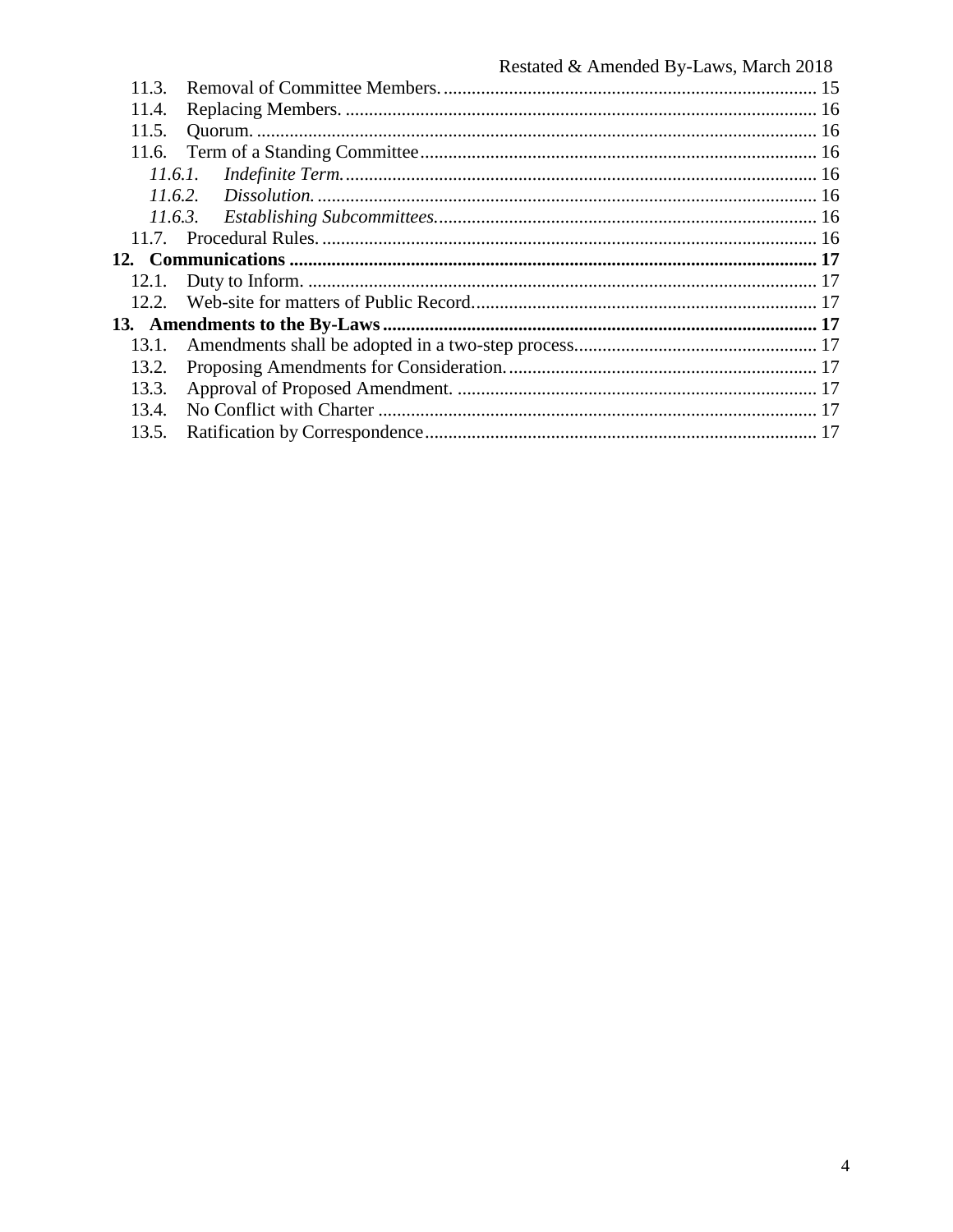| 11.3. |  |
|-------|--|
| 11.4. |  |
| 11.5. |  |
|       |  |
|       |  |
|       |  |
|       |  |
|       |  |
|       |  |
| 12.1. |  |
|       |  |
|       |  |
| 13.1. |  |
| 13.2. |  |
| 13.3. |  |
| 13.4. |  |
| 13.5. |  |
|       |  |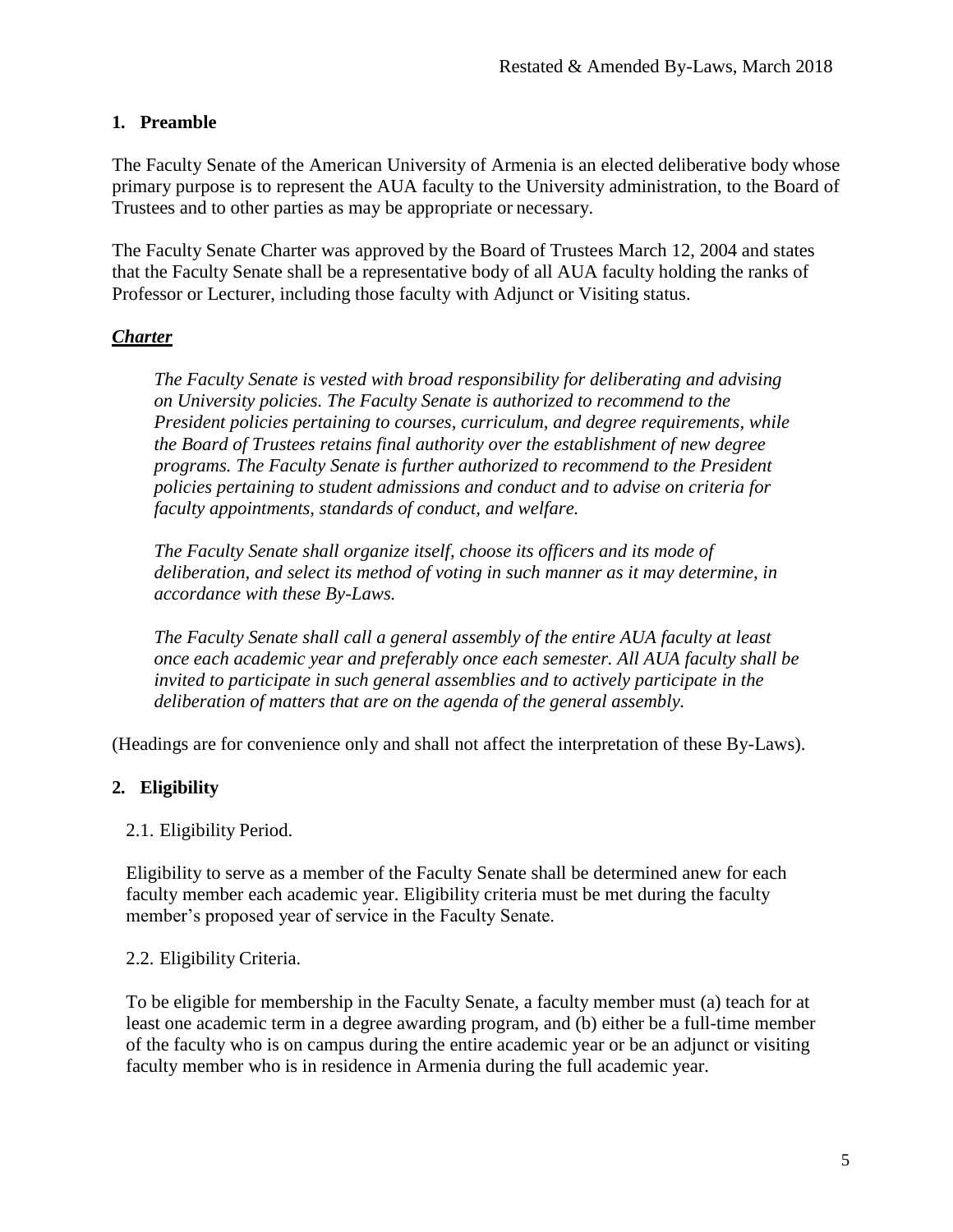#### <span id="page-4-0"></span>**1. Preamble**

The Faculty Senate of the American University of Armenia is an elected deliberative body whose primary purpose is to represent the AUA faculty to the University administration, to the Board of Trustees and to other parties as may be appropriate or necessary.

The Faculty Senate Charter was approved by the Board of Trustees March 12, 2004 and states that the Faculty Senate shall be a representative body of all AUA faculty holding the ranks of Professor or Lecturer, including those faculty with Adjunct or Visiting status.

## *Charter*

*The Faculty Senate is vested with broad responsibility for deliberating and advising on University policies. The Faculty Senate is authorized to recommend to the President policies pertaining to courses, curriculum, and degree requirements, while the Board of Trustees retains final authority over the establishment of new degree programs. The Faculty Senate is further authorized to recommend to the President policies pertaining to student admissions and conduct and to advise on criteria for faculty appointments, standards of conduct, and welfare.*

*The Faculty Senate shall organize itself, choose its officers and its mode of deliberation, and select its method of voting in such manner as it may determine, in accordance with these By-Laws.*

*The Faculty Senate shall call a general assembly of the entire AUA faculty at least once each academic year and preferably once each semester. All AUA faculty shall be invited to participate in such general assemblies and to actively participate in the deliberation of matters that are on the agenda of the general assembly.*

(Headings are for convenience only and shall not affect the interpretation of these By-Laws).

## <span id="page-4-1"></span>**2. Eligibility**

#### <span id="page-4-2"></span>2.1. Eligibility Period.

Eligibility to serve as a member of the Faculty Senate shall be determined anew for each faculty member each academic year. Eligibility criteria must be met during the faculty member's proposed year of service in the Faculty Senate.

#### <span id="page-4-3"></span>2.2. Eligibility Criteria.

To be eligible for membership in the Faculty Senate, a faculty member must (a) teach for at least one academic term in a degree awarding program, and (b) either be a full-time member of the faculty who is on campus during the entire academic year or be an adjunct or visiting faculty member who is in residence in Armenia during the full academic year.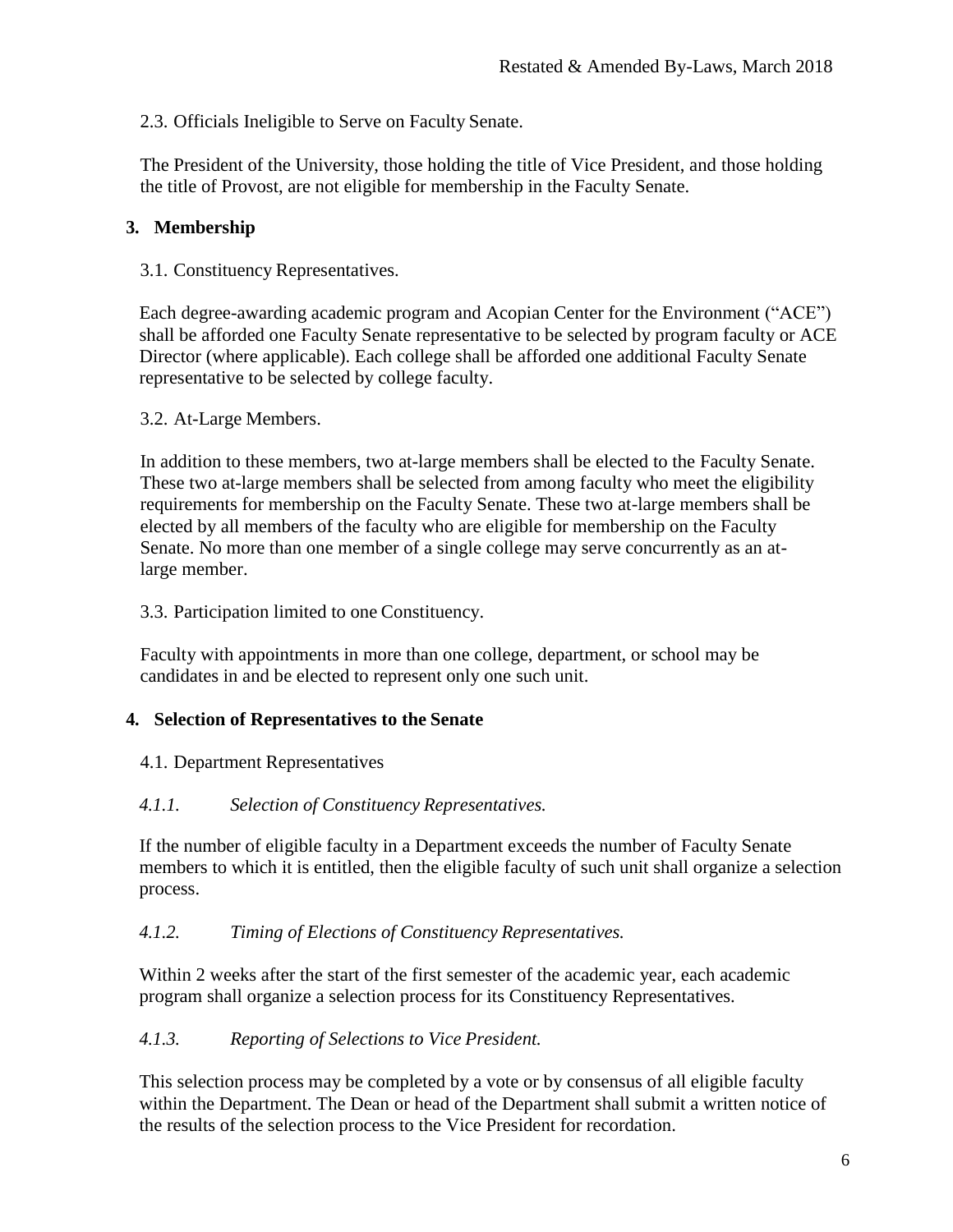<span id="page-5-0"></span>2.3. Officials Ineligible to Serve on Faculty Senate.

The President of the University, those holding the title of Vice President, and those holding the title of Provost, are not eligible for membership in the Faculty Senate.

## **3. Membership**

3.1. Constituency Representatives.

Each degree-awarding academic program and Acopian Center for the Environment ("ACE") shall be afforded one Faculty Senate representative to be selected by program faculty or ACE Director (where applicable). Each college shall be afforded one additional Faculty Senate representative to be selected by college faculty.

3.2. At-Large Members.

In addition to these members, two at-large members shall be elected to the Faculty Senate. These two at-large members shall be selected from among faculty who meet the eligibility requirements for membership on the Faculty Senate. These two at-large members shall be elected by all members of the faculty who are eligible for membership on the Faculty Senate. No more than one member of a single college may serve concurrently as an atlarge member.

3.3. Participation limited to one Constituency.

Faculty with appointments in more than one college, department, or school may be candidates in and be elected to represent only one such unit.

#### <span id="page-5-1"></span>**4. Selection of Representatives to the Senate**

<span id="page-5-2"></span>4.1. Department Representatives

#### <span id="page-5-3"></span>*4.1.1. Selection of Constituency Representatives.*

If the number of eligible faculty in a Department exceeds the number of Faculty Senate members to which it is entitled, then the eligible faculty of such unit shall organize a selection process.

#### <span id="page-5-4"></span>*4.1.2. Timing of Elections of Constituency Representatives.*

Within 2 weeks after the start of the first semester of the academic year, each academic program shall organize a selection process for its Constituency Representatives.

#### <span id="page-5-5"></span>*4.1.3. Reporting of Selections to Vice President.*

This selection process may be completed by a vote or by consensus of all eligible faculty within the Department. The Dean or head of the Department shall submit a written notice of the results of the selection process to the Vice President for recordation.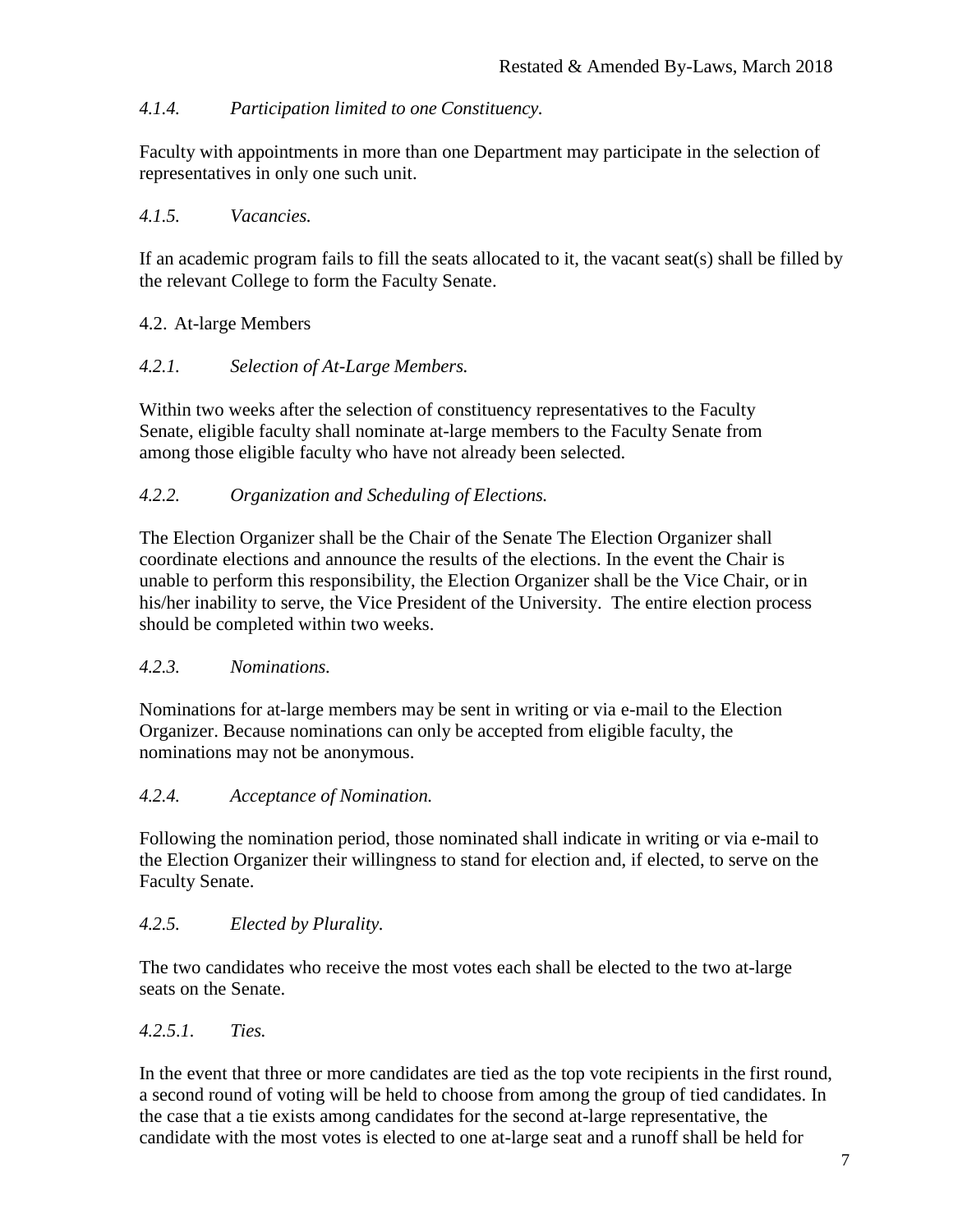## <span id="page-6-0"></span>*4.1.4. Participation limited to one Constituency.*

Faculty with appointments in more than one Department may participate in the selection of representatives in only one such unit.

## <span id="page-6-1"></span>*4.1.5. Vacancies.*

If an academic program fails to fill the seats allocated to it, the vacant seat(s) shall be filled by the relevant College to form the Faculty Senate.

## <span id="page-6-2"></span>4.2. At-large Members

## <span id="page-6-3"></span>*4.2.1. Selection of At-Large Members.*

Within two weeks after the selection of constituency representatives to the Faculty Senate, eligible faculty shall nominate at-large members to the Faculty Senate from among those eligible faculty who have not already been selected.

## <span id="page-6-4"></span>*4.2.2. Organization and Scheduling of Elections.*

The Election Organizer shall be the Chair of the Senate The Election Organizer shall coordinate elections and announce the results of the elections. In the event the Chair is unable to perform this responsibility, the Election Organizer shall be the Vice Chair, or in his/her inability to serve, the Vice President of the University. The entire election process should be completed within two weeks.

## <span id="page-6-5"></span>*4.2.3. Nominations.*

Nominations for at-large members may be sent in writing or via e-mail to the Election Organizer. Because nominations can only be accepted from eligible faculty, the nominations may not be anonymous.

## <span id="page-6-6"></span>*4.2.4. Acceptance of Nomination.*

Following the nomination period, those nominated shall indicate in writing or via e-mail to the Election Organizer their willingness to stand for election and, if elected, to serve on the Faculty Senate.

# <span id="page-6-7"></span>*4.2.5. Elected by Plurality.*

The two candidates who receive the most votes each shall be elected to the two at-large seats on the Senate.

## <span id="page-6-8"></span>*4.2.5.1. Ties.*

In the event that three or more candidates are tied as the top vote recipients in the first round, a second round of voting will be held to choose from among the group of tied candidates. In the case that a tie exists among candidates for the second at-large representative, the candidate with the most votes is elected to one at-large seat and a runoff shall be held for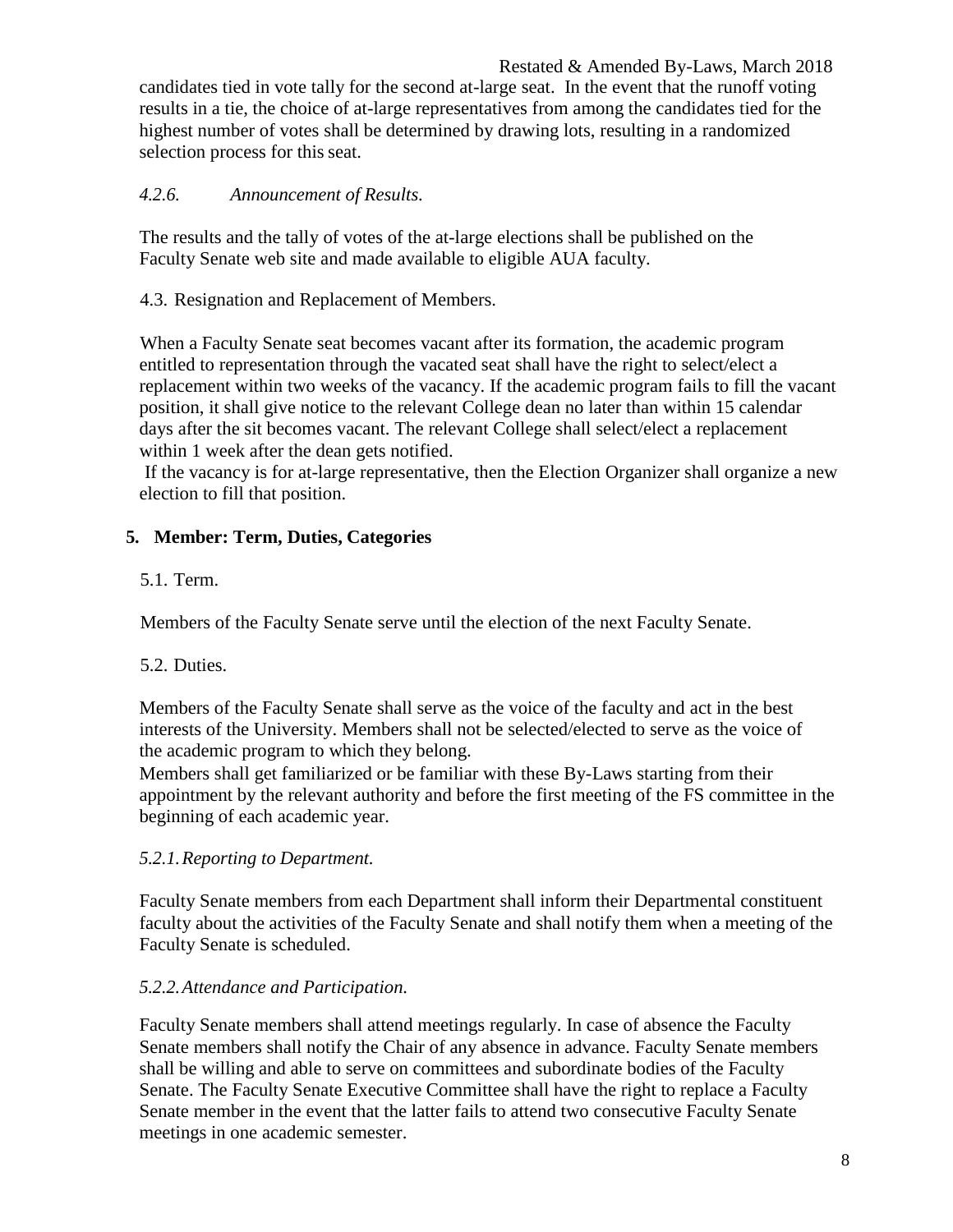Restated & Amended By-Laws, March 2018 candidates tied in vote tally for the second at-large seat. In the event that the runoff voting results in a tie, the choice of at-large representatives from among the candidates tied for the highest number of votes shall be determined by drawing lots, resulting in a randomized selection process for this seat.

## <span id="page-7-0"></span>*4.2.6. Announcement of Results.*

The results and the tally of votes of the at-large elections shall be published on the Faculty Senate web site and made available to eligible AUA faculty.

## <span id="page-7-1"></span>4.3. Resignation and Replacement of Members.

When a Faculty Senate seat becomes vacant after its formation, the academic program entitled to representation through the vacated seat shall have the right to select/elect a replacement within two weeks of the vacancy. If the academic program fails to fill the vacant position, it shall give notice to the relevant College dean no later than within 15 calendar days after the sit becomes vacant. The relevant College shall select/elect a replacement within 1 week after the dean gets notified.

If the vacancy is for at-large representative, then the Election Organizer shall organize a new election to fill that position.

## <span id="page-7-2"></span>**5. Member: Term, Duties, Categories**

## <span id="page-7-3"></span>5.1. Term.

Members of the Faculty Senate serve until the election of the next Faculty Senate.

## <span id="page-7-4"></span>5.2. Duties.

Members of the Faculty Senate shall serve as the voice of the faculty and act in the best interests of the University. Members shall not be selected/elected to serve as the voice of the academic program to which they belong.

Members shall get familiarized or be familiar with these By-Laws starting from their appointment by the relevant authority and before the first meeting of the FS committee in the beginning of each academic year.

## <span id="page-7-5"></span>*5.2.1.Reporting to Department.*

Faculty Senate members from each Department shall inform their Departmental constituent faculty about the activities of the Faculty Senate and shall notify them when a meeting of the Faculty Senate is scheduled.

## <span id="page-7-6"></span>*5.2.2.Attendance and Participation.*

Faculty Senate members shall attend meetings regularly. In case of absence the Faculty Senate members shall notify the Chair of any absence in advance. Faculty Senate members shall be willing and able to serve on committees and subordinate bodies of the Faculty Senate. The Faculty Senate Executive Committee shall have the right to replace a Faculty Senate member in the event that the latter fails to attend two consecutive Faculty Senate meetings in one academic semester.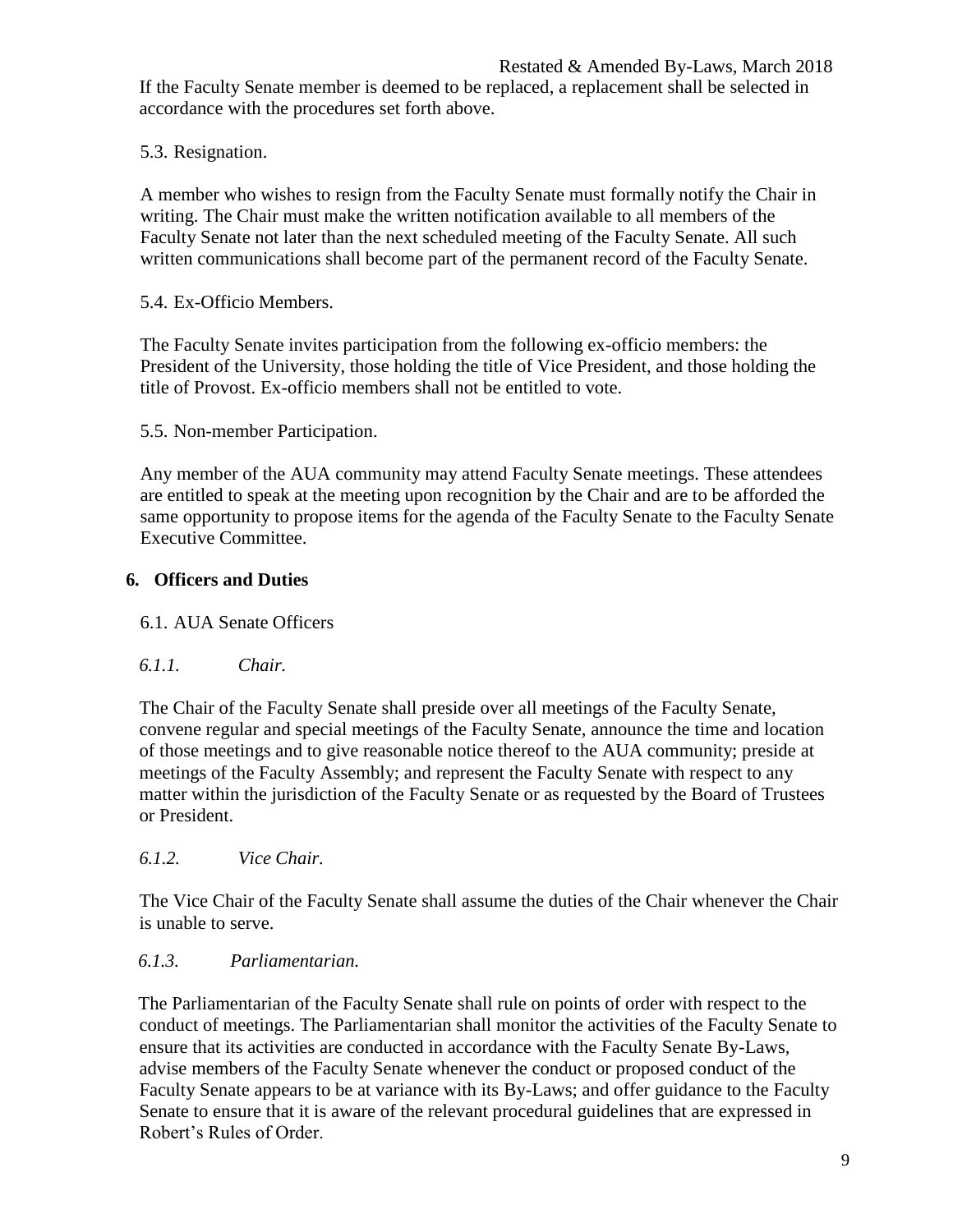If the Faculty Senate member is deemed to be replaced, a replacement shall be selected in accordance with the procedures set forth above.

<span id="page-8-0"></span>5.3. Resignation.

A member who wishes to resign from the Faculty Senate must formally notify the Chair in writing. The Chair must make the written notification available to all members of the Faculty Senate not later than the next scheduled meeting of the Faculty Senate. All such written communications shall become part of the permanent record of the Faculty Senate.

<span id="page-8-1"></span>5.4. Ex-Officio Members.

The Faculty Senate invites participation from the following ex-officio members: the President of the University, those holding the title of Vice President, and those holding the title of Provost. Ex-officio members shall not be entitled to vote.

<span id="page-8-2"></span>5.5. Non-member Participation.

Any member of the AUA community may attend Faculty Senate meetings. These attendees are entitled to speak at the meeting upon recognition by the Chair and are to be afforded the same opportunity to propose items for the agenda of the Faculty Senate to the Faculty Senate Executive Committee.

## <span id="page-8-3"></span>**6. Officers and Duties**

## <span id="page-8-4"></span>6.1. AUA Senate Officers

## <span id="page-8-5"></span>*6.1.1. Chair.*

The Chair of the Faculty Senate shall preside over all meetings of the Faculty Senate, convene regular and special meetings of the Faculty Senate, announce the time and location of those meetings and to give reasonable notice thereof to the AUA community; preside at meetings of the Faculty Assembly; and represent the Faculty Senate with respect to any matter within the jurisdiction of the Faculty Senate or as requested by the Board of Trustees or President.

## <span id="page-8-6"></span>*6.1.2. Vice Chair.*

The Vice Chair of the Faculty Senate shall assume the duties of the Chair whenever the Chair is unable to serve.

## <span id="page-8-7"></span>*6.1.3. Parliamentarian.*

The Parliamentarian of the Faculty Senate shall rule on points of order with respect to the conduct of meetings. The Parliamentarian shall monitor the activities of the Faculty Senate to ensure that its activities are conducted in accordance with the Faculty Senate By-Laws, advise members of the Faculty Senate whenever the conduct or proposed conduct of the Faculty Senate appears to be at variance with its By-Laws; and offer guidance to the Faculty Senate to ensure that it is aware of the relevant procedural guidelines that are expressed in Robert's Rules of Order.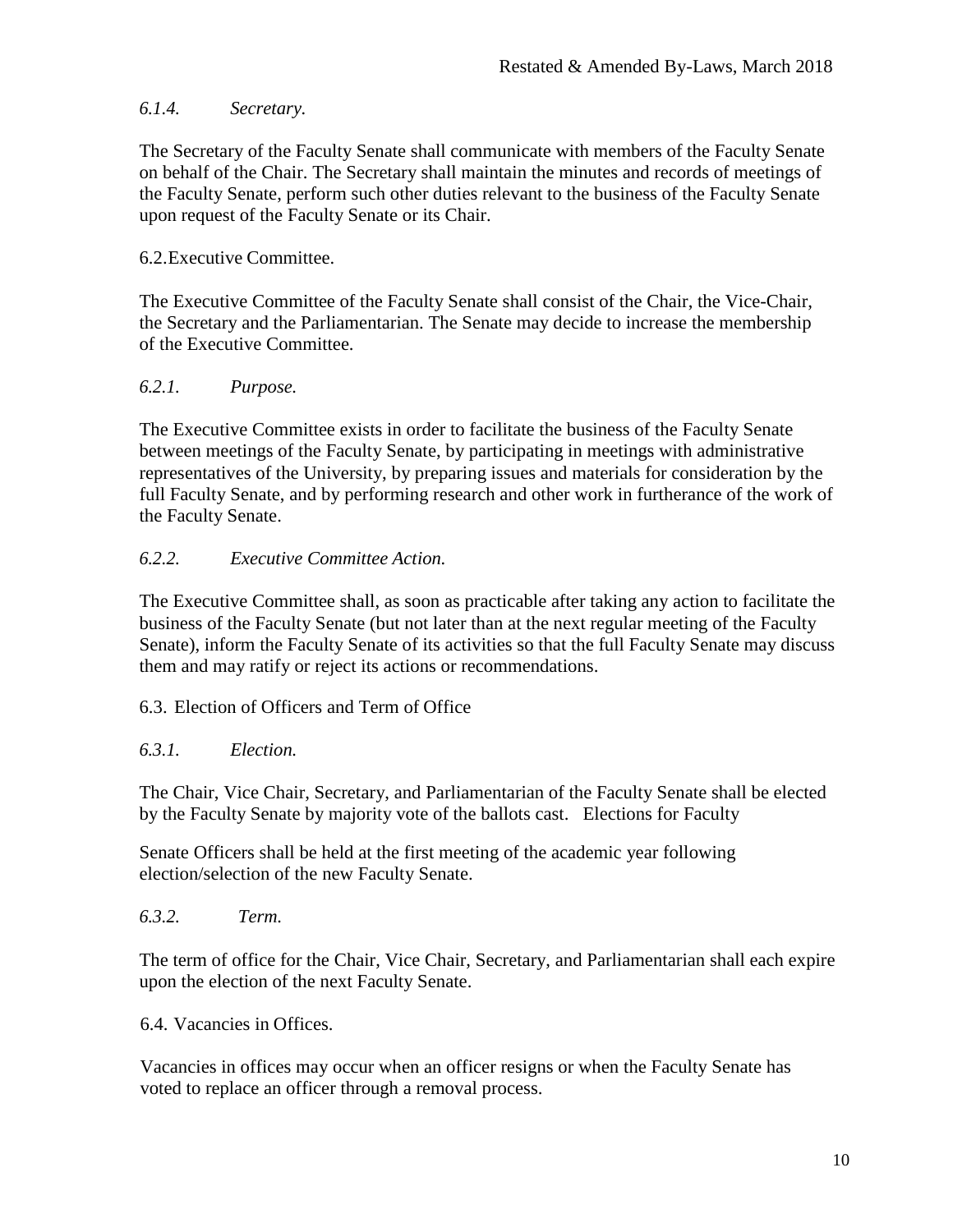## <span id="page-9-0"></span>*6.1.4. Secretary.*

The Secretary of the Faculty Senate shall communicate with members of the Faculty Senate on behalf of the Chair. The Secretary shall maintain the minutes and records of meetings of the Faculty Senate, perform such other duties relevant to the business of the Faculty Senate upon request of the Faculty Senate or its Chair.

#### <span id="page-9-1"></span>6.2.Executive Committee.

The Executive Committee of the Faculty Senate shall consist of the Chair, the Vice-Chair, the Secretary and the Parliamentarian. The Senate may decide to increase the membership of the Executive Committee.

#### <span id="page-9-2"></span>*6.2.1. Purpose.*

The Executive Committee exists in order to facilitate the business of the Faculty Senate between meetings of the Faculty Senate, by participating in meetings with administrative representatives of the University, by preparing issues and materials for consideration by the full Faculty Senate, and by performing research and other work in furtherance of the work of the Faculty Senate.

## <span id="page-9-3"></span>*6.2.2. Executive Committee Action.*

The Executive Committee shall, as soon as practicable after taking any action to facilitate the business of the Faculty Senate (but not later than at the next regular meeting of the Faculty Senate), inform the Faculty Senate of its activities so that the full Faculty Senate may discuss them and may ratify or reject its actions or recommendations.

#### <span id="page-9-4"></span>6.3. Election of Officers and Term of Office

#### <span id="page-9-5"></span>*6.3.1. Election.*

The Chair, Vice Chair, Secretary, and Parliamentarian of the Faculty Senate shall be elected by the Faculty Senate by majority vote of the ballots cast. Elections for Faculty

Senate Officers shall be held at the first meeting of the academic year following election/selection of the new Faculty Senate.

<span id="page-9-6"></span>*6.3.2. Term.*

The term of office for the Chair, Vice Chair, Secretary, and Parliamentarian shall each expire upon the election of the next Faculty Senate.

<span id="page-9-7"></span>6.4. Vacancies in Offices.

Vacancies in offices may occur when an officer resigns or when the Faculty Senate has voted to replace an officer through a removal process.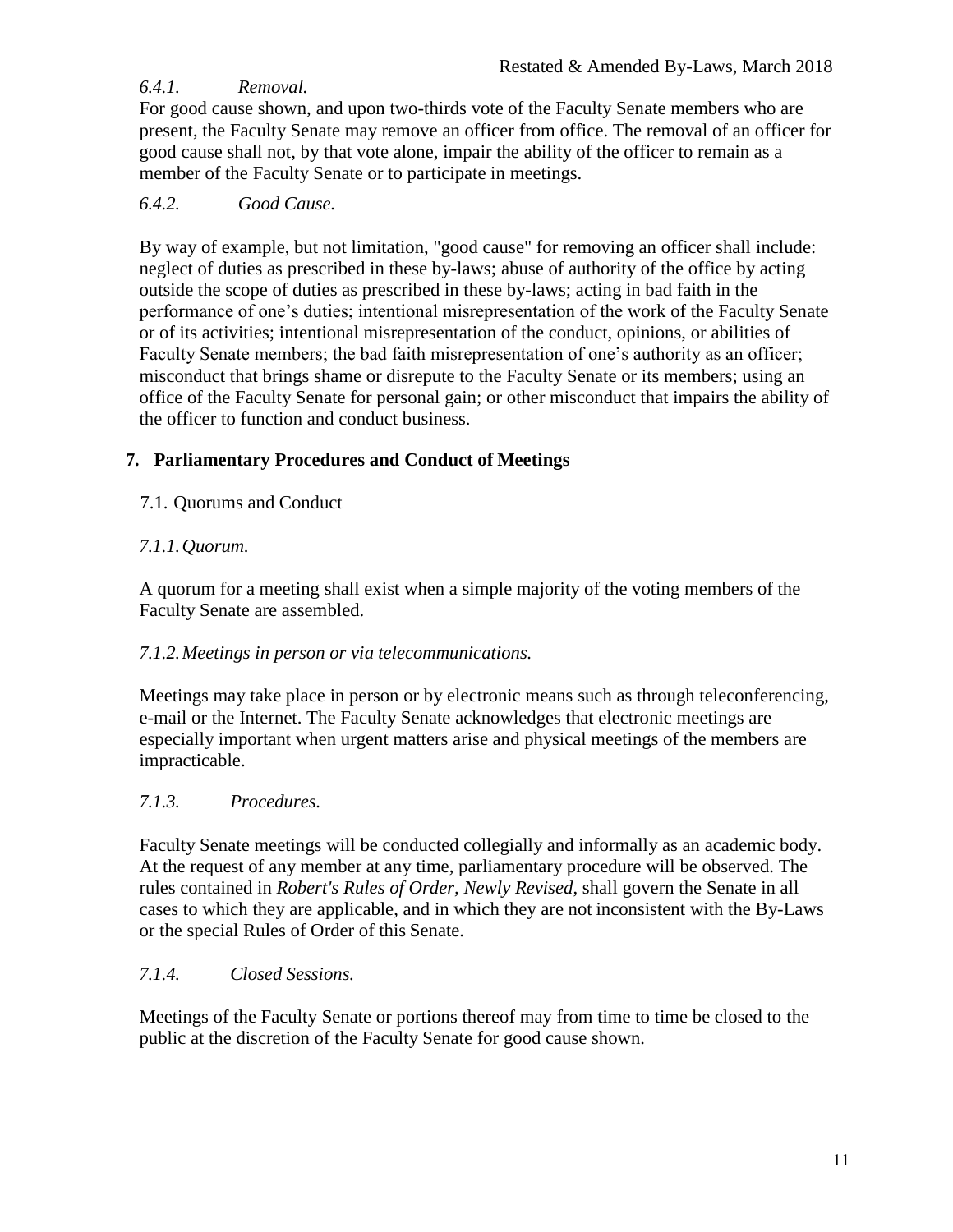## <span id="page-10-0"></span>*6.4.1. Removal.*

For good cause shown, and upon two-thirds vote of the Faculty Senate members who are present, the Faculty Senate may remove an officer from office. The removal of an officer for good cause shall not, by that vote alone, impair the ability of the officer to remain as a member of the Faculty Senate or to participate in meetings.

## <span id="page-10-1"></span>*6.4.2. Good Cause.*

By way of example, but not limitation, "good cause" for removing an officer shall include: neglect of duties as prescribed in these by-laws; abuse of authority of the office by acting outside the scope of duties as prescribed in these by-laws; acting in bad faith in the performance of one's duties; intentional misrepresentation of the work of the Faculty Senate or of its activities; intentional misrepresentation of the conduct, opinions, or abilities of Faculty Senate members; the bad faith misrepresentation of one's authority as an officer; misconduct that brings shame or disrepute to the Faculty Senate or its members; using an office of the Faculty Senate for personal gain; or other misconduct that impairs the ability of the officer to function and conduct business.

## <span id="page-10-2"></span>**7. Parliamentary Procedures and Conduct of Meetings**

<span id="page-10-3"></span>7.1. Quorums and Conduct

## <span id="page-10-4"></span>*7.1.1.Quorum.*

A quorum for a meeting shall exist when a simple majority of the voting members of the Faculty Senate are assembled.

## <span id="page-10-5"></span>*7.1.2.Meetings in person or via telecommunications.*

Meetings may take place in person or by electronic means such as through teleconferencing, e-mail or the Internet. The Faculty Senate acknowledges that electronic meetings are especially important when urgent matters arise and physical meetings of the members are impracticable.

## <span id="page-10-6"></span>*7.1.3. Procedures.*

Faculty Senate meetings will be conducted collegially and informally as an academic body. At the request of any member at any time, parliamentary procedure will be observed. The rules contained in *Robert's Rules of Order, Newly Revised*, shall govern the Senate in all cases to which they are applicable, and in which they are not inconsistent with the By-Laws or the special Rules of Order of this Senate.

## <span id="page-10-7"></span>*7.1.4. Closed Sessions.*

Meetings of the Faculty Senate or portions thereof may from time to time be closed to the public at the discretion of the Faculty Senate for good cause shown.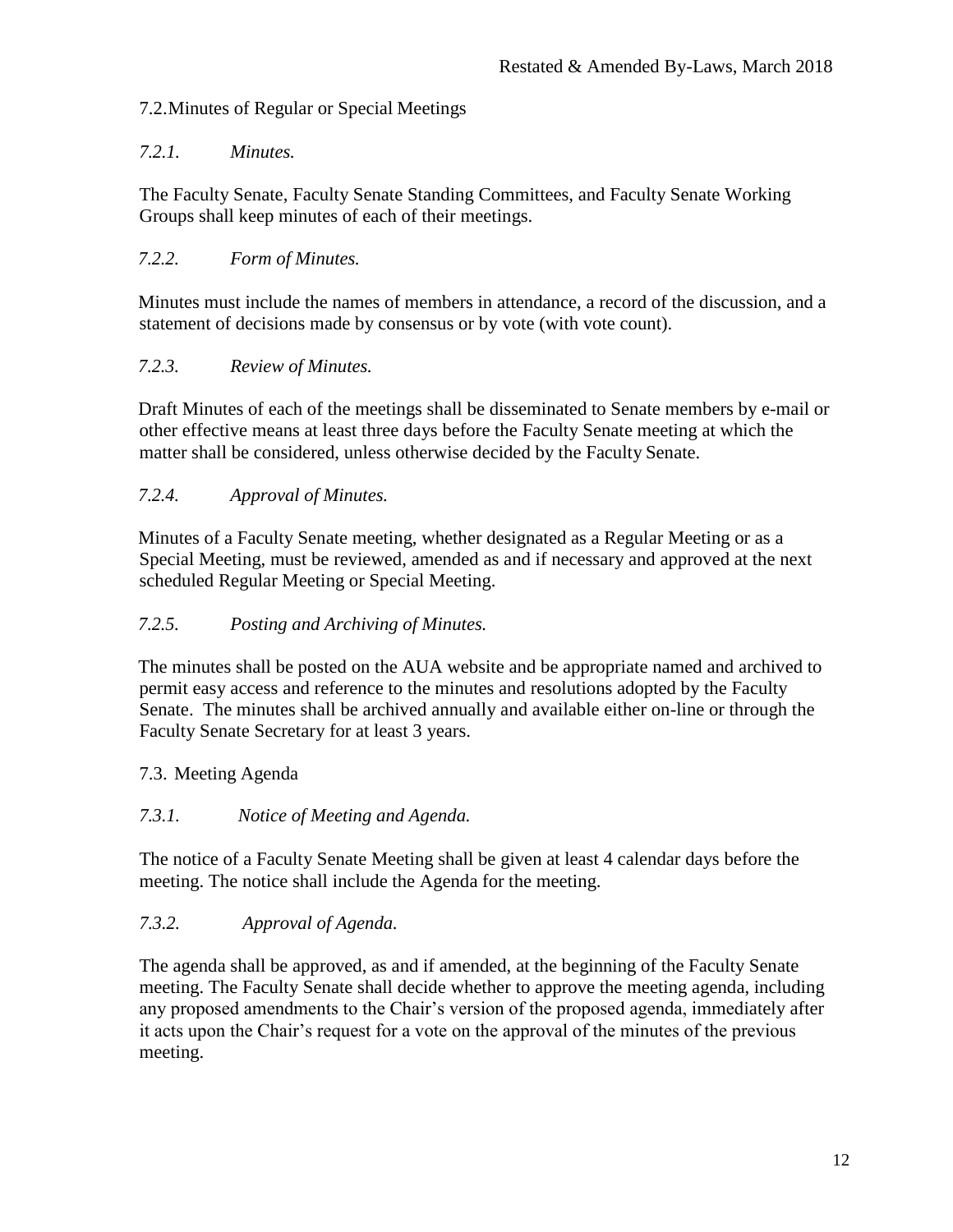## <span id="page-11-0"></span>7.2.Minutes of Regular or Special Meetings

## <span id="page-11-1"></span>*7.2.1. Minutes.*

The Faculty Senate, Faculty Senate Standing Committees, and Faculty Senate Working Groups shall keep minutes of each of their meetings.

## <span id="page-11-2"></span>*7.2.2. Form of Minutes.*

Minutes must include the names of members in attendance, a record of the discussion, and a statement of decisions made by consensus or by vote (with vote count).

## <span id="page-11-3"></span>*7.2.3. Review of Minutes.*

Draft Minutes of each of the meetings shall be disseminated to Senate members by e-mail or other effective means at least three days before the Faculty Senate meeting at which the matter shall be considered, unless otherwise decided by the Faculty Senate.

# <span id="page-11-4"></span>*7.2.4. Approval of Minutes.*

Minutes of a Faculty Senate meeting, whether designated as a Regular Meeting or as a Special Meeting, must be reviewed, amended as and if necessary and approved at the next scheduled Regular Meeting or Special Meeting.

## <span id="page-11-5"></span>*7.2.5. Posting and Archiving of Minutes.*

The minutes shall be posted on the AUA website and be appropriate named and archived to permit easy access and reference to the minutes and resolutions adopted by the Faculty Senate. The minutes shall be archived annually and available either on-line or through the Faculty Senate Secretary for at least 3 years.

# <span id="page-11-6"></span>7.3. Meeting Agenda

## <span id="page-11-7"></span>*7.3.1. Notice of Meeting and Agenda.*

The notice of a Faculty Senate Meeting shall be given at least 4 calendar days before the meeting. The notice shall include the Agenda for the meeting.

## <span id="page-11-8"></span>*7.3.2. Approval of Agenda.*

The agenda shall be approved, as and if amended, at the beginning of the Faculty Senate meeting. The Faculty Senate shall decide whether to approve the meeting agenda, including any proposed amendments to the Chair's version of the proposed agenda, immediately after it acts upon the Chair's request for a vote on the approval of the minutes of the previous meeting.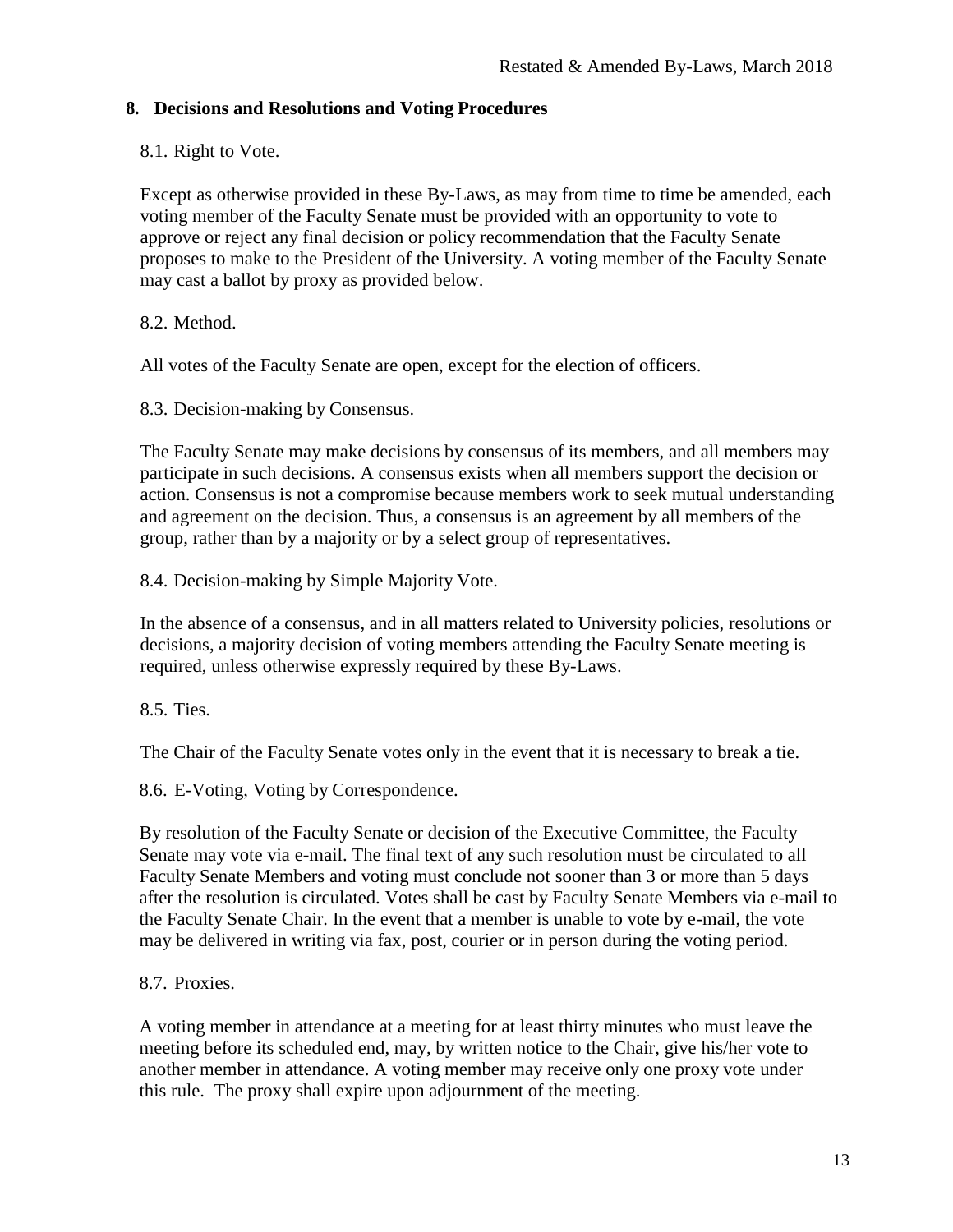## <span id="page-12-0"></span>**8. Decisions and Resolutions and Voting Procedures**

#### <span id="page-12-1"></span>8.1. Right to Vote.

Except as otherwise provided in these By-Laws, as may from time to time be amended, each voting member of the Faculty Senate must be provided with an opportunity to vote to approve or reject any final decision or policy recommendation that the Faculty Senate proposes to make to the President of the University. A voting member of the Faculty Senate may cast a ballot by proxy as provided below.

## <span id="page-12-2"></span>8.2. Method.

All votes of the Faculty Senate are open, except for the election of officers.

<span id="page-12-3"></span>8.3. Decision-making by Consensus.

The Faculty Senate may make decisions by consensus of its members, and all members may participate in such decisions. A consensus exists when all members support the decision or action. Consensus is not a compromise because members work to seek mutual understanding and agreement on the decision. Thus, a consensus is an agreement by all members of the group, rather than by a majority or by a select group of representatives.

<span id="page-12-4"></span>8.4. Decision-making by Simple Majority Vote.

In the absence of a consensus, and in all matters related to University policies, resolutions or decisions, a majority decision of voting members attending the Faculty Senate meeting is required, unless otherwise expressly required by these By-Laws.

<span id="page-12-5"></span>8.5. Ties.

The Chair of the Faculty Senate votes only in the event that it is necessary to break a tie.

<span id="page-12-6"></span>8.6. E-Voting, Voting by Correspondence.

By resolution of the Faculty Senate or decision of the Executive Committee, the Faculty Senate may vote via e-mail. The final text of any such resolution must be circulated to all Faculty Senate Members and voting must conclude not sooner than 3 or more than 5 days after the resolution is circulated. Votes shall be cast by Faculty Senate Members via e-mail to the Faculty Senate Chair. In the event that a member is unable to vote by e-mail, the vote may be delivered in writing via fax, post, courier or in person during the voting period.

<span id="page-12-7"></span>8.7. Proxies.

A voting member in attendance at a meeting for at least thirty minutes who must leave the meeting before its scheduled end, may, by written notice to the Chair, give his/her vote to another member in attendance. A voting member may receive only one proxy vote under this rule. The proxy shall expire upon adjournment of the meeting.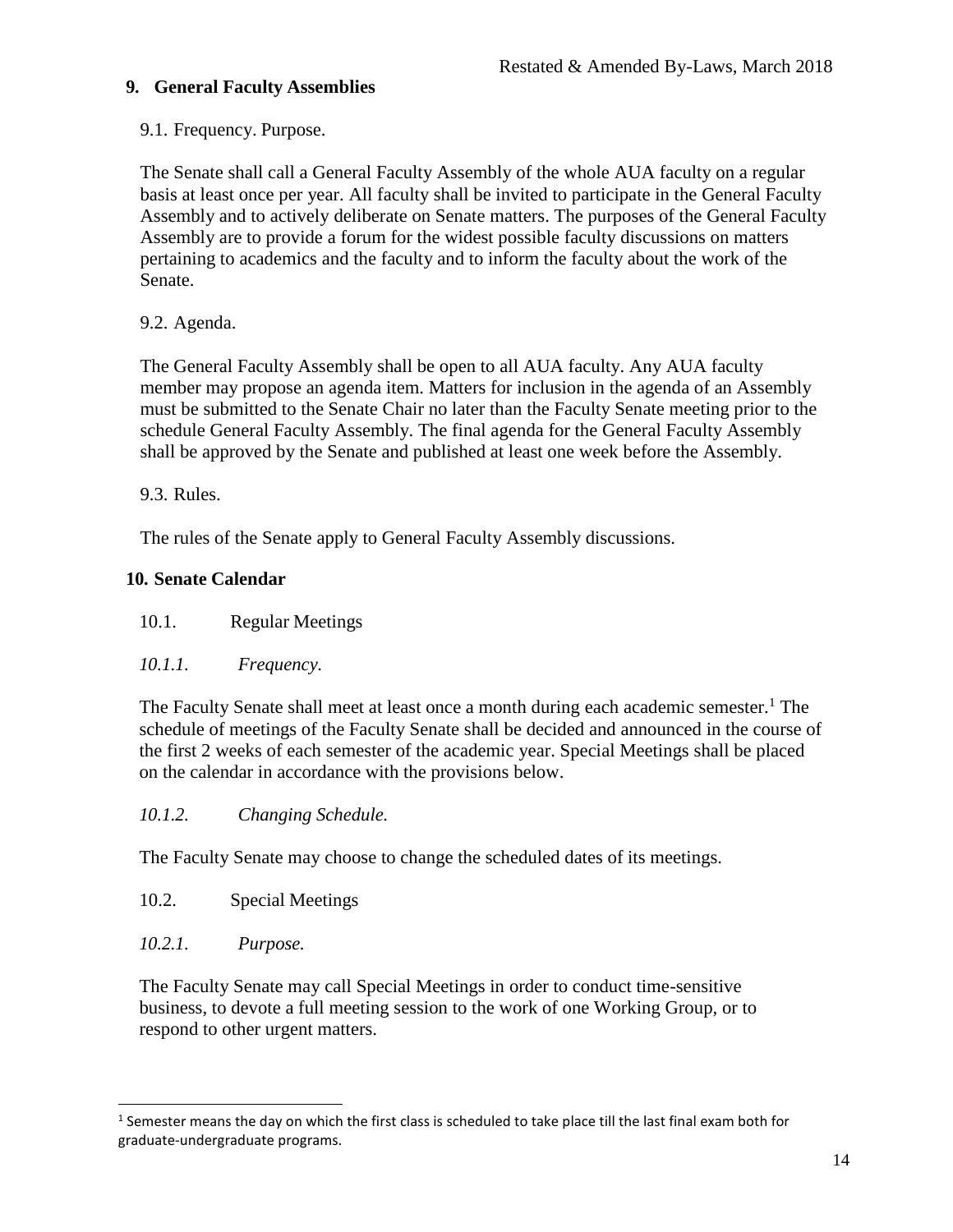## <span id="page-13-0"></span>**9. General Faculty Assemblies**

## <span id="page-13-1"></span>9.1. Frequency. Purpose.

The Senate shall call a General Faculty Assembly of the whole AUA faculty on a regular basis at least once per year. All faculty shall be invited to participate in the General Faculty Assembly and to actively deliberate on Senate matters. The purposes of the General Faculty Assembly are to provide a forum for the widest possible faculty discussions on matters pertaining to academics and the faculty and to inform the faculty about the work of the Senate.

## <span id="page-13-2"></span>9.2. Agenda.

The General Faculty Assembly shall be open to all AUA faculty. Any AUA faculty member may propose an agenda item. Matters for inclusion in the agenda of an Assembly must be submitted to the Senate Chair no later than the Faculty Senate meeting prior to the schedule General Faculty Assembly. The final agenda for the General Faculty Assembly shall be approved by the Senate and published at least one week before the Assembly.

<span id="page-13-3"></span>9.3. Rules.

The rules of the Senate apply to General Faculty Assembly discussions.

## <span id="page-13-4"></span>**10. Senate Calendar**

<span id="page-13-5"></span>10.1. Regular Meetings

# <span id="page-13-6"></span>*10.1.1. Frequency.*

The Faculty Senate shall meet at least once a month during each academic semester.<sup>1</sup> The schedule of meetings of the Faculty Senate shall be decided and announced in the course of the first 2 weeks of each semester of the academic year. Special Meetings shall be placed on the calendar in accordance with the provisions below.

# <span id="page-13-7"></span>*10.1.2. Changing Schedule.*

The Faculty Senate may choose to change the scheduled dates of its meetings.

- <span id="page-13-8"></span>10.2. Special Meetings
- <span id="page-13-9"></span>*10.2.1. Purpose.*

l

The Faculty Senate may call Special Meetings in order to conduct time-sensitive business, to devote a full meeting session to the work of one Working Group, or to respond to other urgent matters.

 $<sup>1</sup>$  Semester means the day on which the first class is scheduled to take place till the last final exam both for</sup> graduate-undergraduate programs.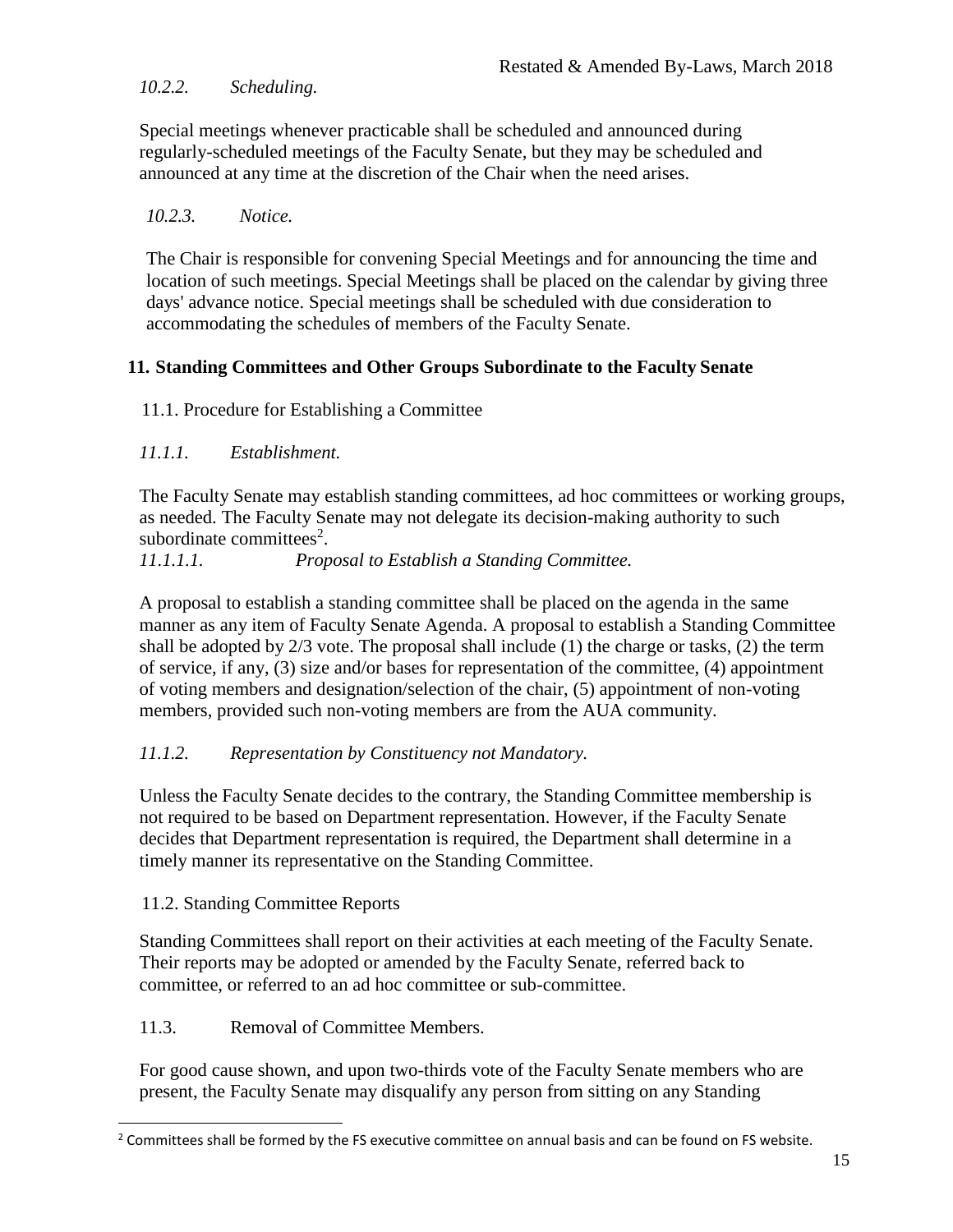## <span id="page-14-0"></span>*10.2.2. Scheduling.*

Special meetings whenever practicable shall be scheduled and announced during regularly-scheduled meetings of the Faculty Senate, but they may be scheduled and announced at any time at the discretion of the Chair when the need arises.

#### <span id="page-14-1"></span>*10.2.3. Notice.*

The Chair is responsible for convening Special Meetings and for announcing the time and location of such meetings. Special Meetings shall be placed on the calendar by giving three days' advance notice. Special meetings shall be scheduled with due consideration to accommodating the schedules of members of the Faculty Senate.

## <span id="page-14-2"></span>**11. Standing Committees and Other Groups Subordinate to the Faculty Senate**

#### <span id="page-14-3"></span>11.1. Procedure for Establishing a Committee

#### <span id="page-14-4"></span>*11.1.1. Establishment.*

The Faculty Senate may establish standing committees, ad hoc committees or working groups, as needed. The Faculty Senate may not delegate its decision-making authority to such subordinate committees<sup>2</sup>.

#### <span id="page-14-5"></span>*11.1.1.1. Proposal to Establish a Standing Committee.*

A proposal to establish a standing committee shall be placed on the agenda in the same manner as any item of Faculty Senate Agenda. A proposal to establish a Standing Committee shall be adopted by 2/3 vote. The proposal shall include (1) the charge or tasks, (2) the term of service, if any, (3) size and/or bases for representation of the committee, (4) appointment of voting members and designation/selection of the chair, (5) appointment of non-voting members, provided such non-voting members are from the AUA community.

## <span id="page-14-6"></span>*11.1.2. Representation by Constituency not Mandatory.*

Unless the Faculty Senate decides to the contrary, the Standing Committee membership is not required to be based on Department representation. However, if the Faculty Senate decides that Department representation is required, the Department shall determine in a timely manner its representative on the Standing Committee.

#### <span id="page-14-7"></span>11.2. Standing Committee Reports

l

Standing Committees shall report on their activities at each meeting of the Faculty Senate. Their reports may be adopted or amended by the Faculty Senate, referred back to committee, or referred to an ad hoc committee or sub-committee.

#### <span id="page-14-8"></span>11.3. Removal of Committee Members.

For good cause shown, and upon two-thirds vote of the Faculty Senate members who are present, the Faculty Senate may disqualify any person from sitting on any Standing

 $2$  Committees shall be formed by the FS executive committee on annual basis and can be found on FS website.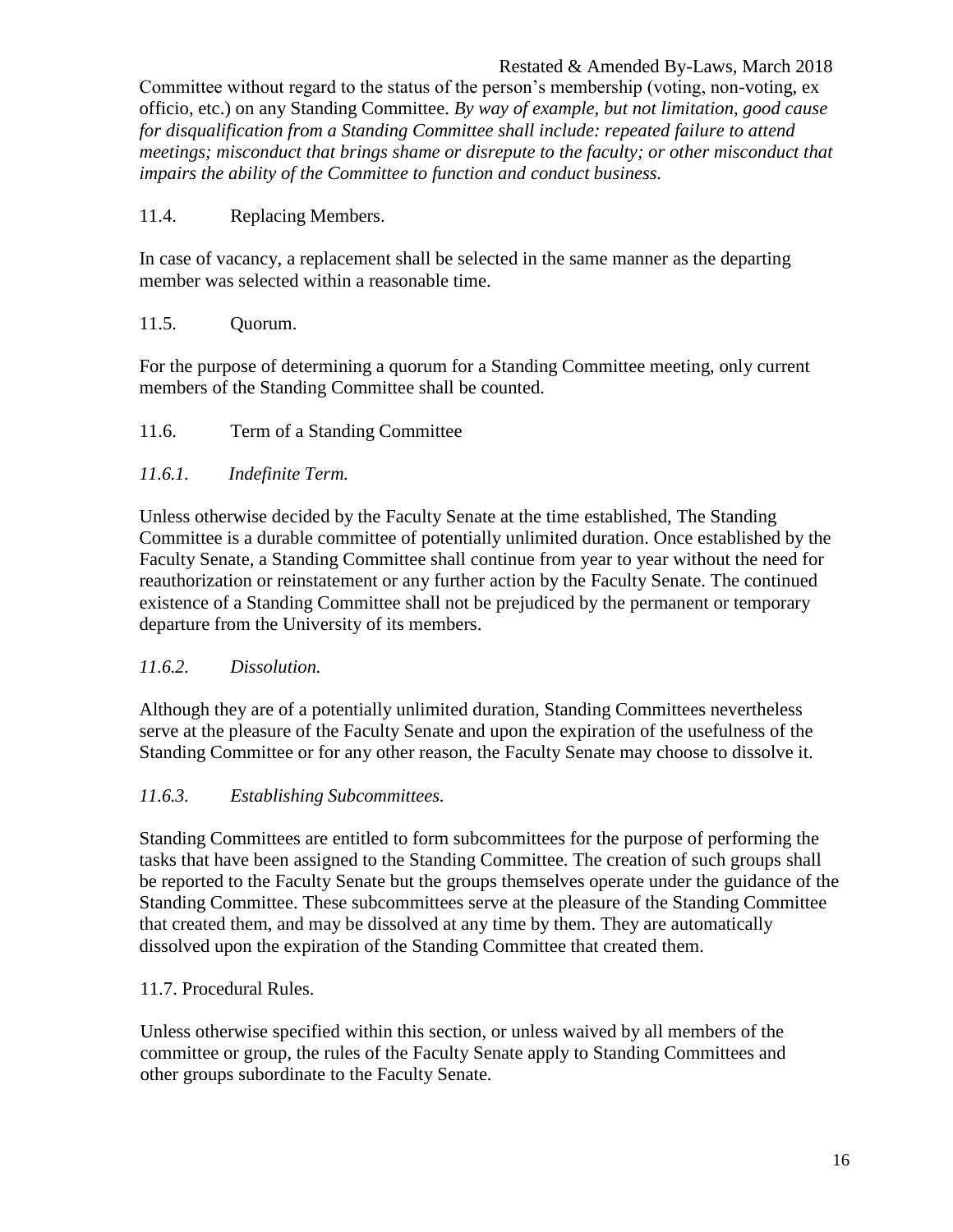Committee without regard to the status of the person's membership (voting, non-voting, ex officio, etc.) on any Standing Committee. *By way of example, but not limitation, good cause for disqualification from a Standing Committee shall include: repeated failure to attend meetings; misconduct that brings shame or disrepute to the faculty; or other misconduct that impairs the ability of the Committee to function and conduct business.*

<span id="page-15-0"></span>11.4. Replacing Members.

In case of vacancy, a replacement shall be selected in the same manner as the departing member was selected within a reasonable time.

#### <span id="page-15-1"></span>11.5. Quorum.

For the purpose of determining a quorum for a Standing Committee meeting, only current members of the Standing Committee shall be counted.

<span id="page-15-2"></span>11.6. Term of a Standing Committee

#### <span id="page-15-3"></span>*11.6.1. Indefinite Term.*

Unless otherwise decided by the Faculty Senate at the time established, The Standing Committee is a durable committee of potentially unlimited duration. Once established by the Faculty Senate, a Standing Committee shall continue from year to year without the need for reauthorization or reinstatement or any further action by the Faculty Senate. The continued existence of a Standing Committee shall not be prejudiced by the permanent or temporary departure from the University of its members.

#### <span id="page-15-4"></span>*11.6.2. Dissolution.*

Although they are of a potentially unlimited duration, Standing Committees nevertheless serve at the pleasure of the Faculty Senate and upon the expiration of the usefulness of the Standing Committee or for any other reason, the Faculty Senate may choose to dissolve it.

#### <span id="page-15-5"></span>*11.6.3. Establishing Subcommittees.*

Standing Committees are entitled to form subcommittees for the purpose of performing the tasks that have been assigned to the Standing Committee. The creation of such groups shall be reported to the Faculty Senate but the groups themselves operate under the guidance of the Standing Committee. These subcommittees serve at the pleasure of the Standing Committee that created them, and may be dissolved at any time by them. They are automatically dissolved upon the expiration of the Standing Committee that created them.

#### <span id="page-15-6"></span>11.7. Procedural Rules.

Unless otherwise specified within this section, or unless waived by all members of the committee or group, the rules of the Faculty Senate apply to Standing Committees and other groups subordinate to the Faculty Senate*.*